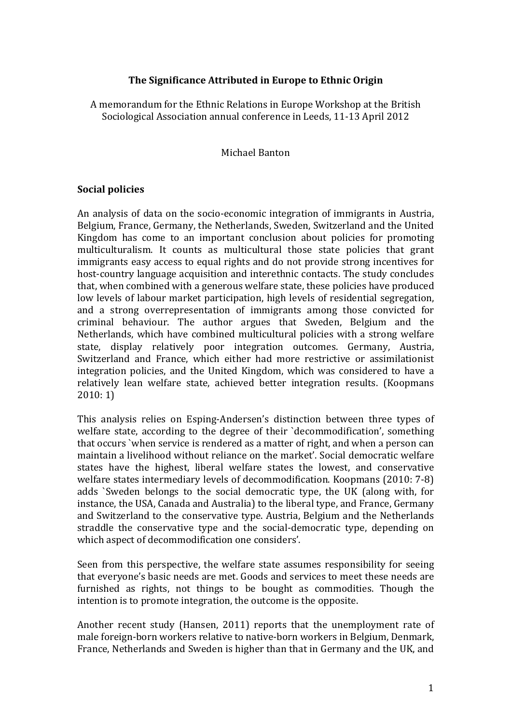# **The Significance Attributed in Europe to Ethnic Origin**

A memorandum for the Ethnic Relations in Europe Workshop at the British Sociological Association annual conference in Leeds, 11‐13 April 2012

### Michael Banton

## **Social policies**

An analysis of data on the socio‐economic integration of immigrants in Austria, Belgium, France, Germany, the Netherlands, Sweden, Switzerland and the United Kingdom has come to an important conclusion about policies for promoting multiculturalism. It counts as multicultural those state policies that grant immigrants easy access to equal rights and do not provide strong incentives for host-country language acquisition and interethnic contacts. The study concludes that, when combined with a generous welfare state, these policies have produced low levels of labour market participation, high levels of residential segregation, and a strong overrepresentation of immigrants among those convicted for criminal behaviour. The author argues that Sweden, Belgium and the Netherlands, which have combined multicultural policies with a strong welfare state, display relatively poor integration outcomes. Germany, Austria, Switzerland and France, which either had more restrictive or assimilationist integration policies, and the United Kingdom, which was considered to have a relatively lean welfare state, achieved better integration results. (Koopmans 2010: 1)

This analysis relies on Esping‐Andersen's distinction between three types of welfare state, according to the degree of their 'decommodification', something that occurs `when service is rendered as a matter of right, and when a person can maintain a livelihood without reliance on the market'. Social democratic welfare states have the highest, liberal welfare states the lowest, and conservative welfare states intermediary levels of decommodification. Koopmans (2010: 7‐8) adds `Sweden belongs to the social democratic type, the UK (along with, for instance, the USA, Canada and Australia) to the liberal type, and France, Germany and Switzerland to the conservative type. Austria, Belgium and the Netherlands straddle the conservative type and the social‐democratic type, depending on which aspect of decommodification one considers'.

Seen from this perspective, the welfare state assumes responsibility for seeing that everyone's basic needs are met. Goods and services to meet these needs are furnished as rights, not things to be bought as commodities. Though the intention is to promote integration, the outcome is the opposite.

Another recent study (Hansen, 2011) reports that the unemployment rate of male foreign‐born workers relative to native‐born workers in Belgium, Denmark, France, Netherlands and Sweden is higher than that in Germany and the UK, and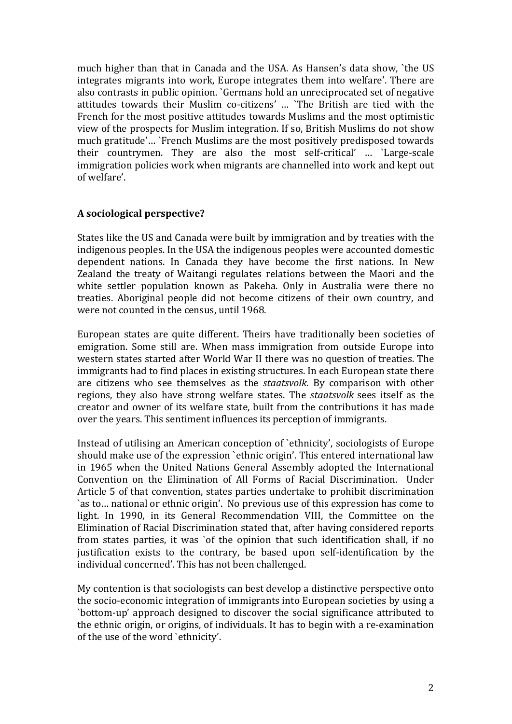much higher than that in Canada and the USA. As Hansen's data show, `the US integrates migrants into work, Europe integrates them into welfare'. There are also contrasts in public opinion. `Germans hold an unreciprocated set of negative attitudes towards their Muslim co-citizens' ... 'The British are tied with the French for the most positive attitudes towards Muslims and the most optimistic view of the prospects for Muslim integration. If so, British Muslims do not show much gratitude'… `French Muslims are the most positively predisposed towards their countrymen. They are also the most self‐critical' … `Large‐scale immigration policies work when migrants are channelled into work and kept out of welfare'.

# **A sociological perspective?**

States like the US and Canada were built by immigration and by treaties with the indigenous peoples. In the USA the indigenous peoples were accounted domestic dependent nations. In Canada they have become the first nations. In New Zealand the treaty of Waitangi regulates relations between the Maori and the white settler population known as Pakeha. Only in Australia were there no treaties. Aboriginal people did not become citizens of their own country, and were not counted in the census, until 1968.

European states are quite different. Theirs have traditionally been societies of emigration. Some still are. When mass immigration from outside Europe into western states started after World War II there was no question of treaties. The immigrants had to find places in existing structures. In each European state there are citizens who see themselves as the *staatsvolk*. By comparison with other regions, they also have strong welfare states. The *staatsvolk* sees itself as the creator and owner of its welfare state, built from the contributions it has made over the years. This sentiment influences its perception of immigrants.

Instead of utilising an American conception of `ethnicity', sociologists of Europe should make use of the expression `ethnic origin'. This entered international law in 1965 when the United Nations General Assembly adopted the International Convention on the Elimination of All Forms of Racial Discrimination. Under Article 5 of that convention, states parties undertake to prohibit discrimination `as to… national or ethnic origin'. No previous use of this expression has come to light. In 1990, in its General Recommendation VIII, the Committee on the Elimination of Racial Discrimination stated that, after having considered reports from states parties, it was 'of the opinion that such identification shall, if no justification exists to the contrary, be based upon self-identification by the individual concerned'. This has not been challenged.

My contention is that sociologists can best develop a distinctive perspective onto the socio‐economic integration of immigrants into European societies by using a `bottom‐up' approach designed to discover the social significance attributed to the ethnic origin, or origins, of individuals. It has to begin with a re‐examination of the use of the word `ethnicity'.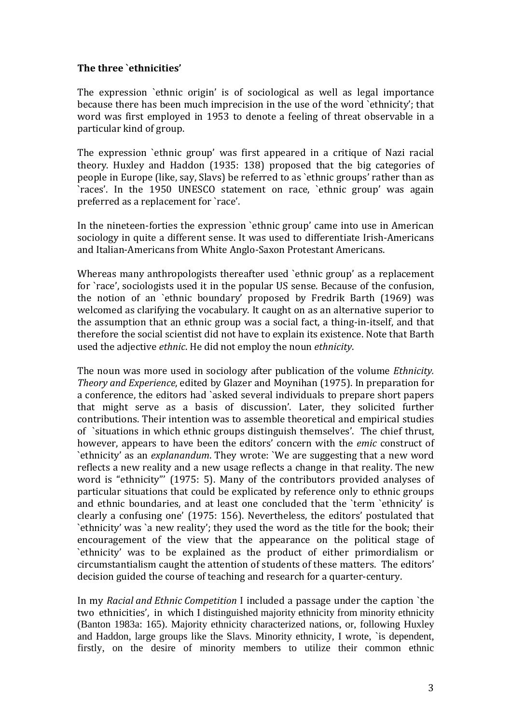## **The three `ethnicities'**

The expression `ethnic origin' is of sociological as well as legal importance because there has been much imprecision in the use of the word `ethnicity'; that word was first employed in 1953 to denote a feeling of threat observable in a particular kind of group.

The expression `ethnic group' was first appeared in a critique of Nazi racial theory. Huxley and Haddon (1935: 138) proposed that the big categories of people in Europe (like, say, Slavs) be referred to as `ethnic groups' rather than as `races'. In the 1950 UNESCO statement on race, `ethnic group' was again preferred as a replacement for `race'.

In the nineteen-forties the expression `ethnic group' came into use in American sociology in quite a different sense. It was used to differentiate Irish‐Americans and Italian‐Americans from White Anglo‐Saxon Protestant Americans.

Whereas many anthropologists thereafter used 'ethnic group' as a replacement for `race', sociologists used it in the popular US sense. Because of the confusion, the notion of an `ethnic boundary' proposed by Fredrik Barth (1969) was welcomed as clarifying the vocabulary. It caught on as an alternative superior to the assumption that an ethnic group was a social fact, a thing‐in‐itself, and that therefore the social scientist did not have to explain its existence. Note that Barth used the adjective *ethnic*. He did not employ the noun *ethnicity*.

The noun was more used in sociology after publication of the volume *Ethnicity. Theory and Experience*, edited by Glazer and Moynihan (1975). In preparation for a conference, the editors had `asked several individuals to prepare short papers that might serve as a basis of discussion'. Later, they solicited further contributions. Their intention was to assemble theoretical and empirical studies of `situations in which ethnic groups distinguish themselves'. The chief thrust, however, appears to have been the editors' concern with the *emic* construct of `ethnicity' as an *explanandum*. They wrote: `We are suggesting that a new word reflects a new reality and a new usage reflects a change in that reality. The new word is "ethnicity"' (1975: 5). Many of the contributors provided analyses of particular situations that could be explicated by reference only to ethnic groups and ethnic boundaries, and at least one concluded that the `term `ethnicity' is clearly a confusing one' (1975: 156). Nevertheless, the editors' postulated that `ethnicity' was `a new reality'; they used the word as the title for the book; their encouragement of the view that the appearance on the political stage of `ethnicity' was to be explained as the product of either primordialism or circumstantialism caught the attention of students of these matters. The editors' decision guided the course of teaching and research for a quarter‐century.

In my *Racial and Ethnic Competition* I included a passage under the caption `the two ethnicities', in which I distinguished majority ethnicity from minority ethnicity (Banton 1983a: 165). Majority ethnicity characterized nations, or, following Huxley and Haddon, large groups like the Slavs. Minority ethnicity, I wrote, `is dependent, firstly, on the desire of minority members to utilize their common ethnic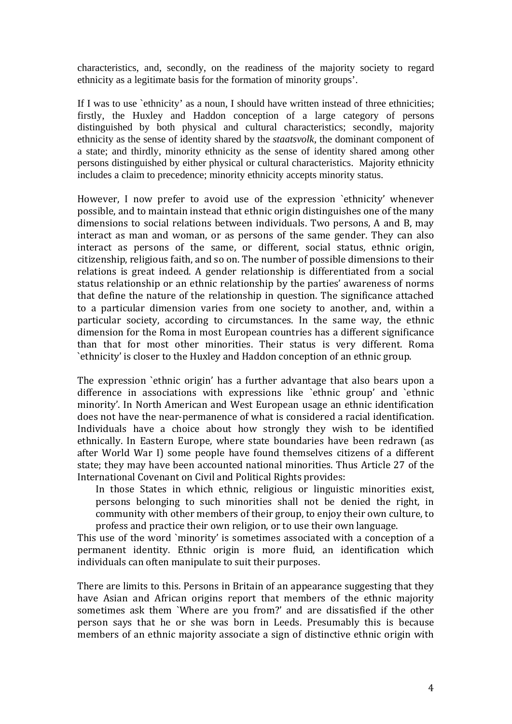characteristics, and, secondly, on the readiness of the majority society to regard ethnicity as a legitimate basis for the formation of minority groups'.

If I was to use 'ethnicity' as a noun, I should have written instead of three ethnicities; firstly, the Huxley and Haddon conception of a large category of persons distinguished by both physical and cultural characteristics; secondly, majority ethnicity as the sense of identity shared by the *staatsvolk*, the dominant component of a state; and thirdly, minority ethnicity as the sense of identity shared among other persons distinguished by either physical or cultural characteristics. Majority ethnicity includes a claim to precedence; minority ethnicity accepts minority status.

However, I now prefer to avoid use of the expression 'ethnicity' whenever possible, and to maintain instead that ethnic origin distinguishes one of the many dimensions to social relations between individuals. Two persons, A and B, may interact as man and woman, or as persons of the same gender. They can also interact as persons of the same, or different, social status, ethnic origin, citizenship, religious faith, and so on. The number of possible dimensions to their relations is great indeed. A gender relationship is differentiated from a social status relationship or an ethnic relationship by the parties' awareness of norms that define the nature of the relationship in question. The significance attached to a particular dimension varies from one society to another, and, within a particular society, according to circumstances. In the same way, the ethnic dimension for the Roma in most European countries has a different significance than that for most other minorities. Their status is very different. Roma `ethnicity' is closer to the Huxley and Haddon conception of an ethnic group.

The expression 'ethnic origin' has a further advantage that also bears upon a difference in associations with expressions like `ethnic group' and `ethnic minority'. In North American and West European usage an ethnic identification does not have the near‐permanence of what is considered a racial identification. Individuals have a choice about how strongly they wish to be identified ethnically. In Eastern Europe, where state boundaries have been redrawn (as after World War I) some people have found themselves citizens of a different state; they may have been accounted national minorities. Thus Article 27 of the International Covenant on Civil and Political Rights provides:

In those States in which ethnic, religious or linguistic minorities exist, persons belonging to such minorities shall not be denied the right, in community with other members of their group, to enjoy their own culture, to profess and practice their own religion, or to use their own language.

This use of the word `minority' is sometimes associated with a conception of a permanent identity. Ethnic origin is more fluid, an identification which individuals can often manipulate to suit their purposes.

There are limits to this. Persons in Britain of an appearance suggesting that they have Asian and African origins report that members of the ethnic majority sometimes ask them `Where are you from?' and are dissatisfied if the other person says that he or she was born in Leeds. Presumably this is because members of an ethnic majority associate a sign of distinctive ethnic origin with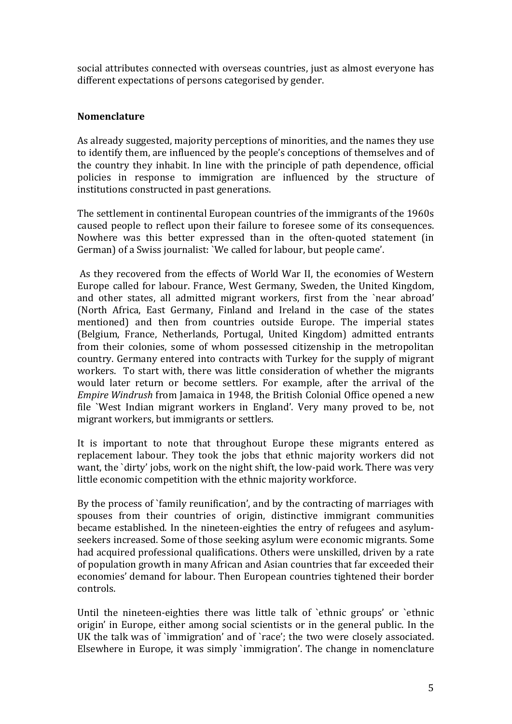social attributes connected with overseas countries, just as almost everyone has different expectations of persons categorised by gender.

## **Nomenclature**

As already suggested, majority perceptions of minorities, and the names they use to identify them, are influenced by the people's conceptions of themselves and of the country they inhabit. In line with the principle of path dependence, official policies in response to immigration are influenced by the structure of institutions constructed in past generations.

The settlement in continental European countries of the immigrants of the 1960s caused people to reflect upon their failure to foresee some of its consequences. Nowhere was this better expressed than in the often-quoted statement (in German) of a Swiss journalist: `We called for labour, but people came'.

 As they recovered from the effects of World War II, the economies of Western Europe called for labour. France, West Germany, Sweden, the United Kingdom, and other states, all admitted migrant workers, first from the `near abroad' (North Africa, East Germany, Finland and Ireland in the case of the states mentioned) and then from countries outside Europe. The imperial states (Belgium, France, Netherlands, Portugal, United Kingdom) admitted entrants from their colonies, some of whom possessed citizenship in the metropolitan country. Germany entered into contracts with Turkey for the supply of migrant workers. To start with, there was little consideration of whether the migrants would later return or become settlers. For example, after the arrival of the *Empire Windrush* from Jamaica in 1948, the British Colonial Office opened a new file `West Indian migrant workers in England'. Very many proved to be, not migrant workers, but immigrants or settlers.

It is important to note that throughout Europe these migrants entered as replacement labour. They took the jobs that ethnic majority workers did not want, the `dirty' jobs, work on the night shift, the low-paid work. There was very little economic competition with the ethnic majority workforce.

By the process of `family reunification', and by the contracting of marriages with spouses from their countries of origin, distinctive immigrant communities became established. In the nineteen-eighties the entry of refugees and asylumseekers increased. Some of those seeking asylum were economic migrants. Some had acquired professional qualifications. Others were unskilled, driven by a rate of population growth in many African and Asian countries that far exceeded their economies' demand for labour. Then European countries tightened their border controls.

Until the nineteen-eighties there was little talk of 'ethnic groups' or 'ethnic origin' in Europe, either among social scientists or in the general public. In the UK the talk was of `immigration' and of `race'; the two were closely associated. Elsewhere in Europe, it was simply `immigration'. The change in nomenclature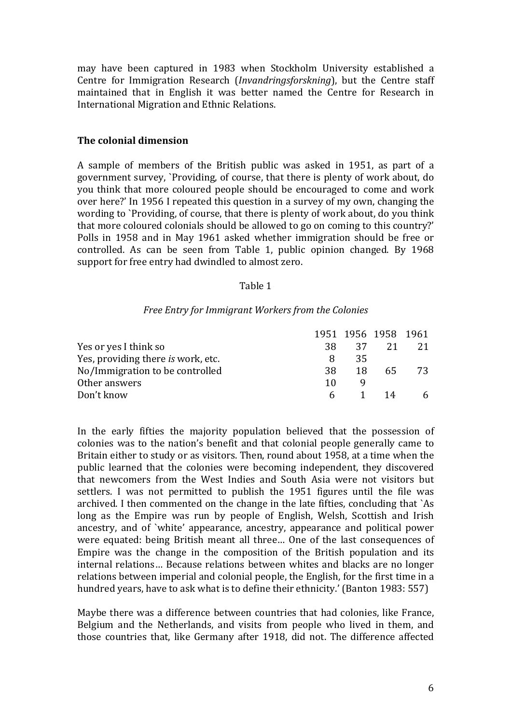may have been captured in 1983 when Stockholm University established a Centre for Immigration Research (*Invandringsforskning*), but the Centre staff maintained that in English it was better named the Centre for Research in International Migration and Ethnic Relations.

### **The colonial dimension**

A sample of members of the British public was asked in 1951, as part of a government survey, `Providing, of course, that there is plenty of work about, do you think that more coloured people should be encouraged to come and work over here?' In 1956 I repeated this question in a survey of my own, changing the wording to `Providing, of course, that there is plenty of work about, do you think that more coloured colonials should be allowed to go on coming to this country?' Polls in 1958 and in May 1961 asked whether immigration should be free or controlled. As can be seen from Table 1, public opinion changed. By 1968 support for free entry had dwindled to almost zero.

### Table 1

#### *Free Entry for Immigrant Workers from the Colonies*

|                                    |    |     | 1951 1956 1958 1961 |      |
|------------------------------------|----|-----|---------------------|------|
| Yes or yes I think so              | 38 | -37 | 21                  |      |
| Yes, providing there is work, etc. | 8  | 35  |                     |      |
| No/Immigration to be controlled    | 38 | 18  | 65.                 | - 73 |
| Other answers                      | 10 |     |                     |      |
| Don't know                         |    |     | 1 14                | 6    |

In the early fifties the majority population believed that the possession of colonies was to the nation's benefit and that colonial people generally came to Britain either to study or as visitors. Then, round about 1958, at a time when the public learned that the colonies were becoming independent, they discovered that newcomers from the West Indies and South Asia were not visitors but settlers. I was not permitted to publish the 1951 figures until the file was archived. I then commented on the change in the late fifties, concluding that `As long as the Empire was run by people of English, Welsh, Scottish and Irish ancestry, and of `white' appearance, ancestry, appearance and political power were equated: being British meant all three… One of the last consequences of Empire was the change in the composition of the British population and its internal relations… Because relations between whites and blacks are no longer relations between imperial and colonial people, the English, for the first time in a hundred years, have to ask what is to define their ethnicity.' (Banton 1983: 557)

Maybe there was a difference between countries that had colonies, like France, Belgium and the Netherlands, and visits from people who lived in them, and those countries that, like Germany after 1918, did not. The difference affected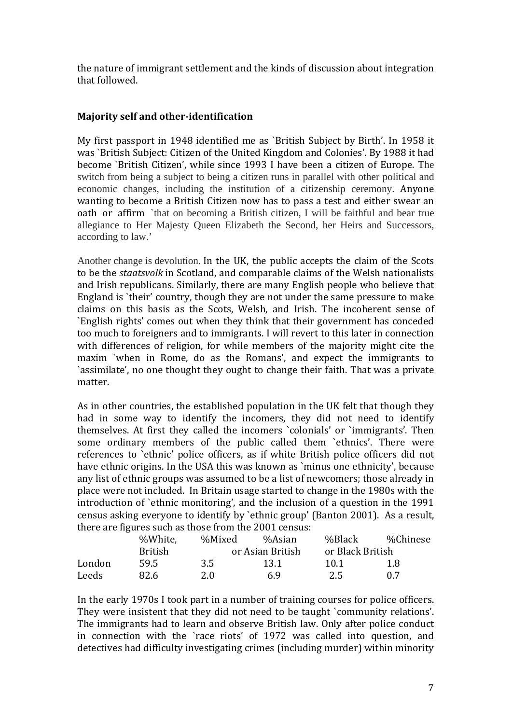the nature of immigrant settlement and the kinds of discussion about integration that followed.

# **Majority self and otheridentification**

My first passport in 1948 identified me as `British Subject by Birth'. In 1958 it was `British Subject: Citizen of the United Kingdom and Colonies'. By 1988 it had become `British Citizen', while since 1993 I have been a citizen of Europe. The switch from being a subject to being a citizen runs in parallel with other political and economic changes, including the institution of a citizenship ceremony. Anyone wanting to become a British Citizen now has to pass a test and either swear an oath or affirm `that on becoming a British citizen, I will be faithful and bear true allegiance to Her Majesty Queen Elizabeth the Second, her Heirs and Successors, according to law.'

Another change is devolution. In the UK, the public accepts the claim of the Scots to be the *staatsvolk* in Scotland, and comparable claims of the Welsh nationalists and Irish republicans. Similarly, there are many English people who believe that England is `their' country, though they are not under the same pressure to make claims on this basis as the Scots, Welsh, and Irish. The incoherent sense of `English rights' comes out when they think that their government has conceded too much to foreigners and to immigrants. I will revert to this later in connection with differences of religion, for while members of the majority might cite the maxim `when in Rome, do as the Romans', and expect the immigrants to `assimilate', no one thought they ought to change their faith. That was a private matter.

As in other countries, the established population in the UK felt that though they had in some way to identify the incomers, they did not need to identify themselves. At first they called the incomers `colonials' or `immigrants'. Then some ordinary members of the public called them 'ethnics'. There were references to 'ethnic' police officers, as if white British police officers did not have ethnic origins. In the USA this was known as `minus one ethnicity', because any list of ethnic groups was assumed to be a list of newcomers; those already in place were not included. In Britain usage started to change in the 1980s with the introduction of `ethnic monitoring', and the inclusion of a question in the 1991 census asking everyone to identify by `ethnic group' (Banton 2001). As a result, there are figures such as those from the 2001 census:

|        | %White.        | %Mixed | %Asian           | %Black           | %Chinese |  |
|--------|----------------|--------|------------------|------------------|----------|--|
|        | <b>British</b> |        | or Asian British | or Black British |          |  |
| London | 59.5           | 3.5    | 13.1             | 10.1             | 1.8      |  |
| Leeds  | 82.6           | 2.0    | 69               | 2.5              | 0. Z     |  |

In the early 1970s I took part in a number of training courses for police officers. They were insistent that they did not need to be taught `community relations'. The immigrants had to learn and observe British law. Only after police conduct in connection with the `race riots' of 1972 was called into question, and detectives had difficulty investigating crimes (including murder) within minority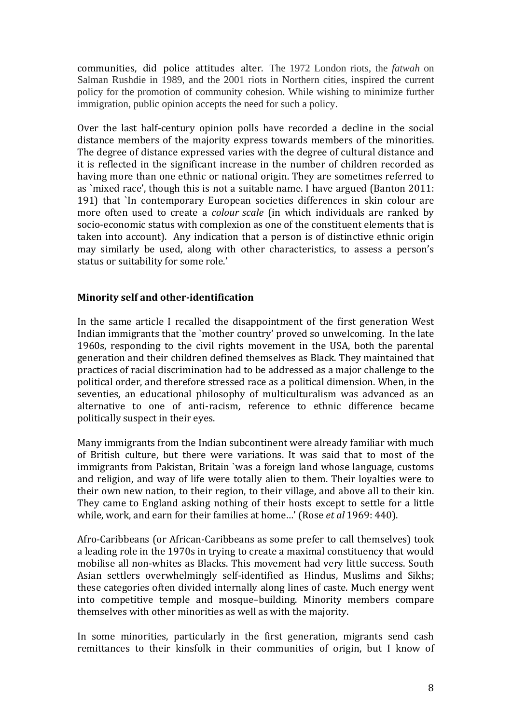communities, did police attitudes alter. The 1972 London riots, the *fatwah* on Salman Rushdie in 1989, and the 2001 riots in Northern cities, inspired the current policy for the promotion of community cohesion. While wishing to minimize further immigration, public opinion accepts the need for such a policy.

Over the last half-century opinion polls have recorded a decline in the social distance members of the majority express towards members of the minorities. The degree of distance expressed varies with the degree of cultural distance and it is reflected in the significant increase in the number of children recorded as having more than one ethnic or national origin. They are sometimes referred to as `mixed race', though this is not a suitable name. I have argued (Banton 2011: 191) that `In contemporary European societies differences in skin colour are more often used to create a *colour scale* (in which individuals are ranked by socio‐economic status with complexion as one of the constituent elements that is taken into account). Any indication that a person is of distinctive ethnic origin may similarly be used, along with other characteristics, to assess a person's status or suitability for some role.'

### **Minority self and otheridentification**

In the same article I recalled the disappointment of the first generation West Indian immigrants that the `mother country' proved so unwelcoming. In the late 1960s, responding to the civil rights movement in the USA, both the parental generation and their children defined themselves as Black. They maintained that practices of racial discrimination had to be addressed as a major challenge to the political order, and therefore stressed race as a political dimension. When, in the seventies, an educational philosophy of multiculturalism was advanced as an alternative to one of anti‐racism, reference to ethnic difference became politically suspect in their eyes.

Many immigrants from the Indian subcontinent were already familiar with much of British culture, but there were variations. It was said that to most of the immigrants from Pakistan, Britain `was a foreign land whose language, customs and religion, and way of life were totally alien to them. Their loyalties were to their own new nation, to their region, to their village, and above all to their kin. They came to England asking nothing of their hosts except to settle for a little while, work, and earn for their families at home…' (Rose *et al* 1969: 440).

Afro‐Caribbeans (or African‐Caribbeans as some prefer to call themselves) took a leading role in the 1970s in trying to create a maximal constituency that would mobilise all non‐whites as Blacks. This movement had very little success. South Asian settlers overwhelmingly self-identified as Hindus, Muslims and Sikhs; these categories often divided internally along lines of caste. Much energy went into competitive temple and mosque–building. Minority members compare themselves with other minorities as well as with the majority.

In some minorities, particularly in the first generation, migrants send cash remittances to their kinsfolk in their communities of origin, but I know of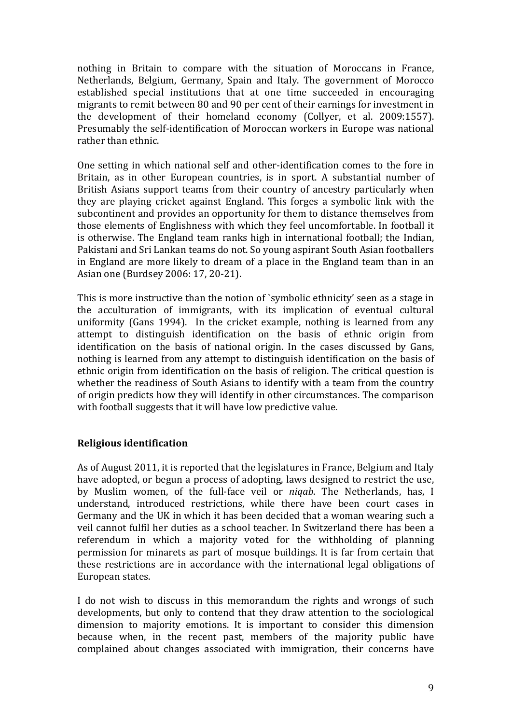nothing in Britain to compare with the situation of Moroccans in France, Netherlands, Belgium, Germany, Spain and Italy. The government of Morocco established special institutions that at one time succeeded in encouraging migrants to remit between 80 and 90 per cent of their earnings for investment in the development of their homeland economy (Collyer, et al. 2009:1557). Presumably the self‐identification of Moroccan workers in Europe was national rather than ethnic.

One setting in which national self and other‐identification comes to the fore in Britain, as in other European countries, is in sport. A substantial number of British Asians support teams from their country of ancestry particularly when they are playing cricket against England. This forges a symbolic link with the subcontinent and provides an opportunity for them to distance themselves from those elements of Englishness with which they feel uncomfortable. In football it is otherwise. The England team ranks high in international football; the Indian, Pakistani and Sri Lankan teams do not. So young aspirant South Asian footballers in England are more likely to dream of a place in the England team than in an Asian one (Burdsey 2006: 17, 20‐21).

This is more instructive than the notion of `symbolic ethnicity' seen as a stage in the acculturation of immigrants, with its implication of eventual cultural uniformity (Gans 1994). In the cricket example, nothing is learned from any attempt to distinguish identification on the basis of ethnic origin from identification on the basis of national origin. In the cases discussed by Gans, nothing is learned from any attempt to distinguish identification on the basis of ethnic origin from identification on the basis of religion. The critical question is whether the readiness of South Asians to identify with a team from the country of origin predicts how they will identify in other circumstances. The comparison with football suggests that it will have low predictive value.

## **Religious identification**

As of August 2011, it is reported that the legislatures in France, Belgium and Italy have adopted, or begun a process of adopting, laws designed to restrict the use, by Muslim women, of the full‐face veil or *niqab*. The Netherlands, has, I understand, introduced restrictions, while there have been court cases in Germany and the UK in which it has been decided that a woman wearing such a veil cannot fulfil her duties as a school teacher. In Switzerland there has been a referendum in which a majority voted for the withholding of planning permission for minarets as part of mosque buildings. It is far from certain that these restrictions are in accordance with the international legal obligations of European states.

I do not wish to discuss in this memorandum the rights and wrongs of such developments, but only to contend that they draw attention to the sociological dimension to majority emotions. It is important to consider this dimension because when, in the recent past, members of the majority public have complained about changes associated with immigration, their concerns have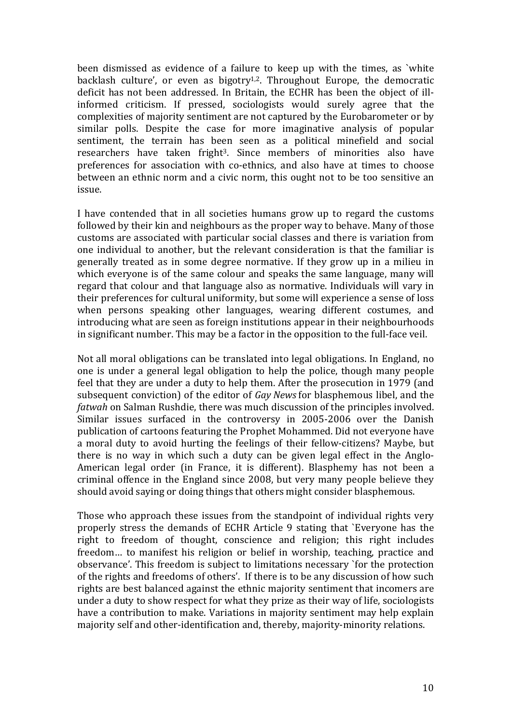been dismissed as evidence of a failure to keep up with the times, as 'white backlash culture', or even as  $bigot{\ y}^{1,2}$ . Throughout Europe, the democratic deficit has not been addressed. In Britain, the ECHR has been the object of ill‐ informed criticism. If pressed, sociologists would surely agree that the complexities of majority sentiment are not captured by the Eurobarometer or by similar polls. Despite the case for more imaginative analysis of popular sentiment, the terrain has been seen as a political minefield and social researchers have taken fright<sup>3</sup>. Since members of minorities also have preferences for association with co-ethnics, and also have at times to choose between an ethnic norm and a civic norm, this ought not to be too sensitive an issue.

I have contended that in all societies humans grow up to regard the customs followed by their kin and neighbours as the proper way to behave. Many of those customs are associated with particular social classes and there is variation from one individual to another, but the relevant consideration is that the familiar is generally treated as in some degree normative. If they grow up in a milieu in which everyone is of the same colour and speaks the same language, many will regard that colour and that language also as normative. Individuals will vary in their preferences for cultural uniformity, but some will experience a sense of loss when persons speaking other languages, wearing different costumes, and introducing what are seen as foreign institutions appear in their neighbourhoods in significant number. This may be a factor in the opposition to the full‐face veil.

Not all moral obligations can be translated into legal obligations. In England, no one is under a general legal obligation to help the police, though many people feel that they are under a duty to help them. After the prosecution in 1979 (and subsequent conviction) of the editor of *Gay News* for blasphemous libel, and the *fatwah* on Salman Rushdie, there was much discussion of the principles involved. Similar issues surfaced in the controversy in 2005‐2006 over the Danish publication of cartoons featuring the Prophet Mohammed. Did not everyone have a moral duty to avoid hurting the feelings of their fellow‐citizens? Maybe, but there is no way in which such a duty can be given legal effect in the Anglo-American legal order (in France, it is different). Blasphemy has not been a criminal offence in the England since 2008, but very many people believe they should avoid saying or doing things that others might consider blasphemous.

Those who approach these issues from the standpoint of individual rights very properly stress the demands of ECHR Article 9 stating that `Everyone has the right to freedom of thought, conscience and religion; this right includes freedom… to manifest his religion or belief in worship, teaching, practice and observance'. This freedom is subject to limitations necessary `for the protection of the rights and freedoms of others'. If there is to be any discussion of how such rights are best balanced against the ethnic majority sentiment that incomers are under a duty to show respect for what they prize as their way of life, sociologists have a contribution to make. Variations in majority sentiment may help explain majority self and other-identification and, thereby, majority-minority relations.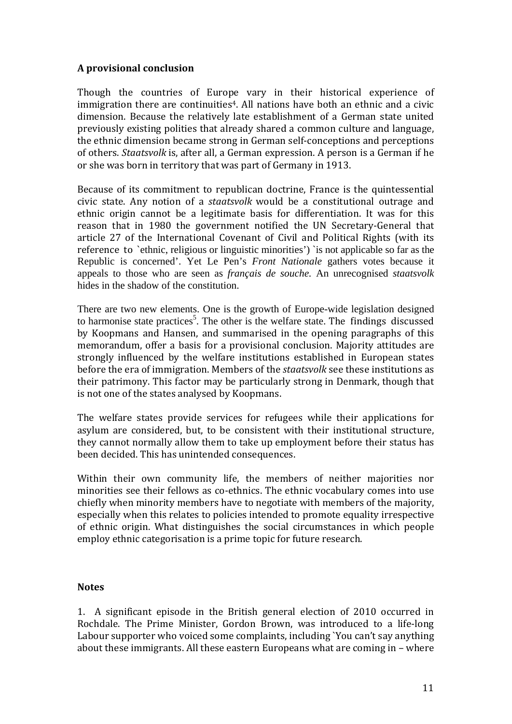# **A provisional conclusion**

Though the countries of Europe vary in their historical experience of immigration there are continuities<sup>4</sup>. All nations have both an ethnic and a civic dimension. Because the relatively late establishment of a German state united previously existing polities that already shared a common culture and language, the ethnic dimension became strong in German self‐conceptions and perceptions of others. *Staatsvolk* is, after all, a German expression. A person is a German if he or she was born in territory that was part of Germany in 1913.

Because of its commitment to republican doctrine, France is the quintessential civic state. Any notion of a *staatsvolk* would be a constitutional outrage and ethnic origin cannot be a legitimate basis for differentiation. It was for this reason that in 1980 the government notified the UN Secretary‐General that article 27 of the International Covenant of Civil and Political Rights (with its reference to 'ethnic, religious or linguistic minorities') is not applicable so far as the Republic is concerned'. Yet Le Pen's *Front Nationale* gathers votes because it appeals to those who are seen as *français de souche.* An unrecognised *staatsvolk*  hides in the shadow of the constitution.

There are two new elements. One is the growth of Europe-wide legislation designed to harmonise state practices<sup>5</sup>. The other is the welfare state. The findings discussed by Koopmans and Hansen, and summarised in the opening paragraphs of this memorandum, offer a basis for a provisional conclusion. Majority attitudes are strongly influenced by the welfare institutions established in European states before the era of immigration. Members of the *staatsvolk* see these institutions as their patrimony. This factor may be particularly strong in Denmark, though that is not one of the states analysed by Koopmans.

The welfare states provide services for refugees while their applications for asylum are considered, but, to be consistent with their institutional structure, they cannot normally allow them to take up employment before their status has been decided. This has unintended consequences.

Within their own community life, the members of neither majorities nor minorities see their fellows as co-ethnics. The ethnic vocabulary comes into use chiefly when minority members have to negotiate with members of the majority, especially when this relates to policies intended to promote equality irrespective of ethnic origin. What distinguishes the social circumstances in which people employ ethnic categorisation is a prime topic for future research.

### **Notes**

1. A significant episode in the British general election of 2010 occurred in Rochdale. The Prime Minister, Gordon Brown, was introduced to a life‐long Labour supporter who voiced some complaints, including `You can't say anything about these immigrants. All these eastern Europeans what are coming in – where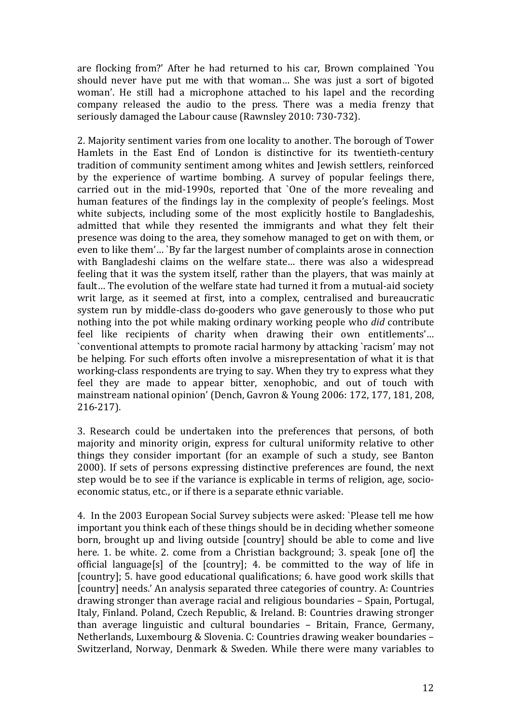are flocking from?' After he had returned to his car, Brown complained `You should never have put me with that woman… She was just a sort of bigoted woman'. He still had a microphone attached to his lapel and the recording company released the audio to the press. There was a media frenzy that seriously damaged the Labour cause (Rawnsley 2010: 730‐732).

2. Majority sentiment varies from one locality to another. The borough of Tower Hamlets in the East End of London is distinctive for its twentieth‐century tradition of community sentiment among whites and Jewish settlers, reinforced by the experience of wartime bombing. A survey of popular feelings there, carried out in the mid-1990s, reported that `One of the more revealing and human features of the findings lay in the complexity of people's feelings. Most white subjects, including some of the most explicitly hostile to Bangladeshis, admitted that while they resented the immigrants and what they felt their presence was doing to the area, they somehow managed to get on with them, or even to like them'… `By far the largest number of complaints arose in connection with Bangladeshi claims on the welfare state... there was also a widespread feeling that it was the system itself, rather than the players, that was mainly at fault... The evolution of the welfare state had turned it from a mutual-aid society writ large, as it seemed at first, into a complex, centralised and bureaucratic system run by middle-class do-gooders who gave generously to those who put nothing into the pot while making ordinary working people who *did* contribute feel like recipients of charity when drawing their own entitlements'… `conventional attempts to promote racial harmony by attacking `racism' may not be helping. For such efforts often involve a misrepresentation of what it is that working‐class respondents are trying to say. When they try to express what they feel they are made to appear bitter, xenophobic, and out of touch with mainstream national opinion' (Dench, Gavron & Young 2006: 172, 177, 181, 208, 216‐217).

3. Research could be undertaken into the preferences that persons, of both majority and minority origin, express for cultural uniformity relative to other things they consider important (for an example of such a study, see Banton 2000). If sets of persons expressing distinctive preferences are found, the next step would be to see if the variance is explicable in terms of religion, age, socio‐ economic status, etc., or if there is a separate ethnic variable.

4. In the 2003 European Social Survey subjects were asked: `Please tell me how important you think each of these things should be in deciding whether someone born, brought up and living outside [country] should be able to come and live here. 1. be white. 2. come from a Christian background; 3. speak [one of] the official language[s] of the [country]; 4. be committed to the way of life in [country]; 5. have good educational qualifications; 6. have good work skills that [country] needs.' An analysis separated three categories of country. A: Countries drawing stronger than average racial and religious boundaries – Spain, Portugal, Italy, Finland. Poland, Czech Republic, & Ireland. B: Countries drawing stronger than average linguistic and cultural boundaries – Britain, France, Germany, Netherlands, Luxembourg & Slovenia. C: Countries drawing weaker boundaries – Switzerland, Norway, Denmark & Sweden. While there were many variables to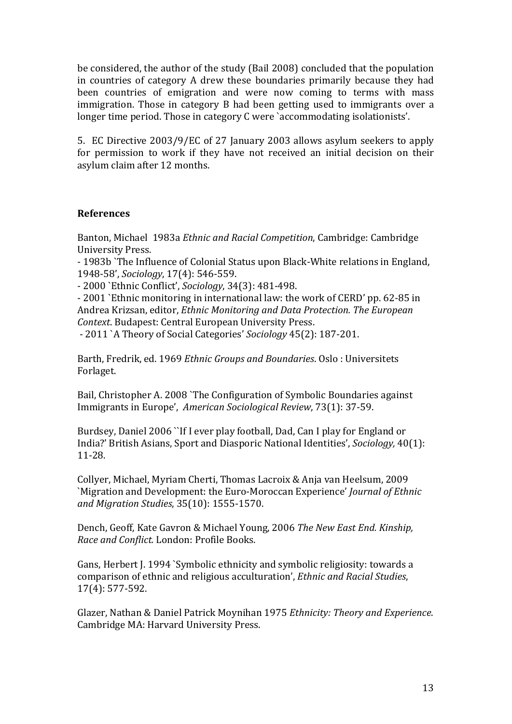be considered, the author of the study (Bail 2008) concluded that the population in countries of category A drew these boundaries primarily because they had been countries of emigration and were now coming to terms with mass immigration. Those in category B had been getting used to immigrants over a longer time period. Those in category C were `accommodating isolationists'.

5. EC Directive 2003/9/EC of 27 January 2003 allows asylum seekers to apply for permission to work if they have not received an initial decision on their asylum claim after 12 months.

## **References**

Banton, Michael 1983a *Ethnic and Racial Competition*, Cambridge: Cambridge University Press.

‐ 1983b `The Influence of Colonial Status upon Black‐White relations in England, 1948‐58', *Sociology*, 17(4): 546‐559.

‐ 2000 `Ethnic Conflict', *Sociology*, 34(3): 481‐498.

‐ 2001 `Ethnic monitoring in international law: the work of CERD' pp. 62‐85 in Andrea Krizsan, editor, *Ethnic Monitoring and Data Protection. The European Context*. Budapest: Central European University Press.

‐ 2011 `A Theory of Social Categories' *Sociology* 45(2): 187‐201.

Barth, Fredrik, ed. 1969 *Ethnic Groups and Boundaries*. Oslo : Universitets Forlaget.

Bail, Christopher A. 2008 `The Configuration of Symbolic Boundaries against Immigrants in Europe', *American Sociological Review*, 73(1): 37‐59.

Burdsey, Daniel 2006 ``If I ever play football, Dad, Can I play for England or India?' British Asians, Sport and Diasporic National Identities', *Sociology,* 40(1): 11‐28.

Collyer, Michael, Myriam Cherti, Thomas Lacroix & Anja van Heelsum, 2009 `Migration and Development: the Euro‐Moroccan Experience' *Journal of Ethnic and Migration Studies*, 35(10): 1555‐1570.

Dench, Geoff, Kate Gavron & Michael Young, 2006 *The New East End. Kinship, Race and Conflict.* London: Profile Books.

Gans, Herbert J. 1994 `Symbolic ethnicity and symbolic religiosity: towards a comparison of ethnic and religious acculturation', *Ethnic and Racial Studies*, 17(4): 577‐592.

Glazer, Nathan & Daniel Patrick Moynihan 1975 *Ethnicity: Theory and Experience*. Cambridge MA: Harvard University Press.